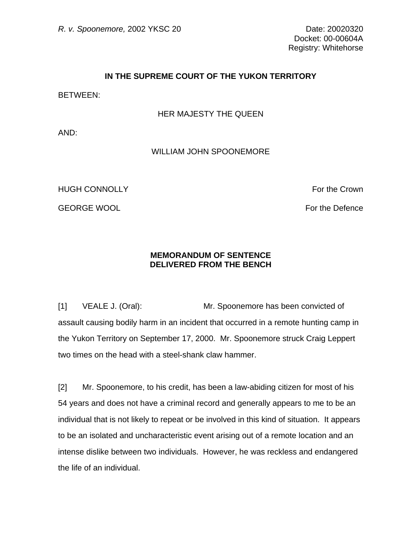## **IN THE SUPREME COURT OF THE YUKON TERRITORY**

BETWEEN:

## HER MAJESTY THE QUEEN

AND:

## WILLIAM JOHN SPOONEMORE

HUGH CONNOLLY **For the Crown** 

GEORGE WOOL **For the Defence** CEORGE WOOL

## **MEMORANDUM OF SENTENCE DELIVERED FROM THE BENCH**

[1] VEALE J. (Oral): Mr. Spoonemore has been convicted of assault causing bodily harm in an incident that occurred in a remote hunting camp in the Yukon Territory on September 17, 2000. Mr. Spoonemore struck Craig Leppert two times on the head with a steel-shank claw hammer.

[2] Mr. Spoonemore, to his credit, has been a law-abiding citizen for most of his 54 years and does not have a criminal record and generally appears to me to be an individual that is not likely to repeat or be involved in this kind of situation. It appears to be an isolated and uncharacteristic event arising out of a remote location and an intense dislike between two individuals. However, he was reckless and endangered the life of an individual.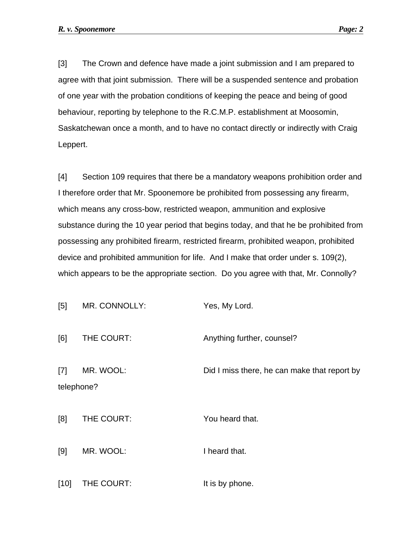[3] The Crown and defence have made a joint submission and I am prepared to agree with that joint submission. There will be a suspended sentence and probation of one year with the probation conditions of keeping the peace and being of good behaviour, reporting by telephone to the R.C.M.P. establishment at Moosomin, Saskatchewan once a month, and to have no contact directly or indirectly with Craig Leppert.

[4] Section 109 requires that there be a mandatory weapons prohibition order and I therefore order that Mr. Spoonemore be prohibited from possessing any firearm, which means any cross-bow, restricted weapon, ammunition and explosive substance during the 10 year period that begins today, and that he be prohibited from possessing any prohibited firearm, restricted firearm, prohibited weapon, prohibited device and prohibited ammunition for life. And I make that order under s. 109(2), which appears to be the appropriate section. Do you agree with that, Mr. Connolly?

| MR. CONNOLLY:<br>[5] | Yes, My Lord. |
|----------------------|---------------|
|----------------------|---------------|

[6] THE COURT: Anything further, counsel? [7] MR. WOOL: Did I miss there, he can make that report by telephone?

[8] THE COURT: You heard that.

[9] MR. WOOL: I heard that.

[10] THE COURT: It is by phone.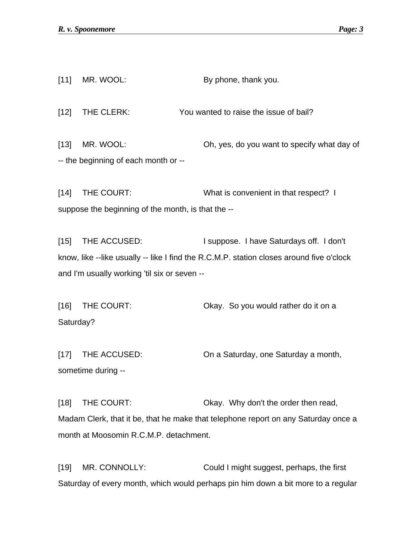[11] MR. WOOL: By phone, thank you. [12] THE CLERK: You wanted to raise the issue of bail? [13] MR. WOOL: Oh, yes, do you want to specify what day of -- the beginning of each month or -- [14] THE COURT: What is convenient in that respect? I suppose the beginning of the month, is that the --

[15] THE ACCUSED: I suppose. I have Saturdays off. I don't know, like --like usually -- like I find the R.C.M.P. station closes around five o'clock and I'm usually working 'til six or seven --

[16] THE COURT: Okay. So you would rather do it on a Saturday?

[17] THE ACCUSED: On a Saturday, one Saturday a month, sometime during --

[18] THE COURT: Okay. Why don't the order then read, Madam Clerk, that it be, that he make that telephone report on any Saturday once a month at Moosomin R.C.M.P. detachment.

[19] MR. CONNOLLY: Could I might suggest, perhaps, the first Saturday of every month, which would perhaps pin him down a bit more to a regular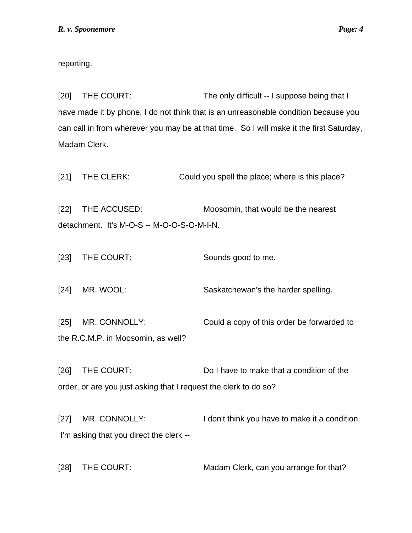reporting.

[20] THE COURT: The only difficult -- I suppose being that I have made it by phone, I do not think that is an unreasonable condition because you can call in from wherever you may be at that time. So I will make it the first Saturday, Madam Clerk.

| $[21]$ | THE CLERK:                                                 | Could you spell the place; where is this place?                                                               |
|--------|------------------------------------------------------------|---------------------------------------------------------------------------------------------------------------|
| $[22]$ | THE ACCUSED:<br>detachment. It's M-O-S -- M-O-O-S-O-M-I-N. | Moosomin, that would be the nearest                                                                           |
| $[23]$ | THE COURT:                                                 | Sounds good to me.                                                                                            |
| $[24]$ | MR. WOOL:                                                  | Saskatchewan's the harder spelling.                                                                           |
| $[25]$ | MR. CONNOLLY:<br>the R.C.M.P. in Moosomin, as well?        | Could a copy of this order be forwarded to                                                                    |
| [26]   | THE COURT:                                                 | Do I have to make that a condition of the<br>order, or are you just asking that I request the clerk to do so? |
| $[27]$ | MR. CONNOLLY:<br>I'm asking that you direct the clerk --   | I don't think you have to make it a condition.                                                                |

[28] THE COURT: Madam Clerk, can you arrange for that?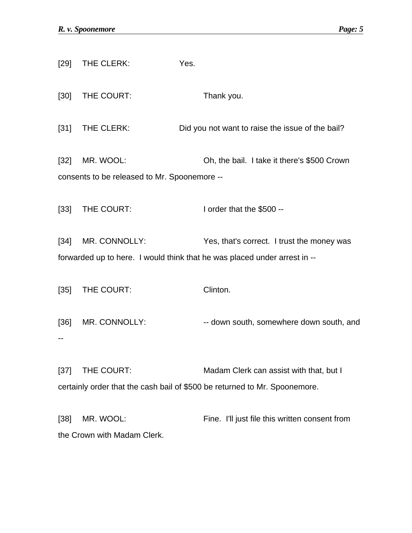| [29]   | THE CLERK:                                                | Yes.                                                                                                                    |
|--------|-----------------------------------------------------------|-------------------------------------------------------------------------------------------------------------------------|
| $[30]$ | THE COURT:                                                | Thank you.                                                                                                              |
| $[31]$ | THE CLERK:                                                | Did you not want to raise the issue of the bail?                                                                        |
| $[32]$ | MR. WOOL:<br>consents to be released to Mr. Spoonemore -- | Oh, the bail. I take it there's \$500 Crown                                                                             |
| $[33]$ | THE COURT:                                                | I order that the \$500 --                                                                                               |
| $[34]$ | MR. CONNOLLY:                                             | Yes, that's correct. I trust the money was<br>forwarded up to here. I would think that he was placed under arrest in -- |
| $[35]$ | THE COURT:                                                | Clinton.                                                                                                                |
|        | [36] MR. CONNOLLY:                                        | -- down south, somewhere down south, and                                                                                |
| $[37]$ | THE COURT:                                                | Madam Clerk can assist with that, but I<br>certainly order that the cash bail of \$500 be returned to Mr. Spoonemore.   |

[38] MR. WOOL: Fine. I'll just file this written consent from the Crown with Madam Clerk.